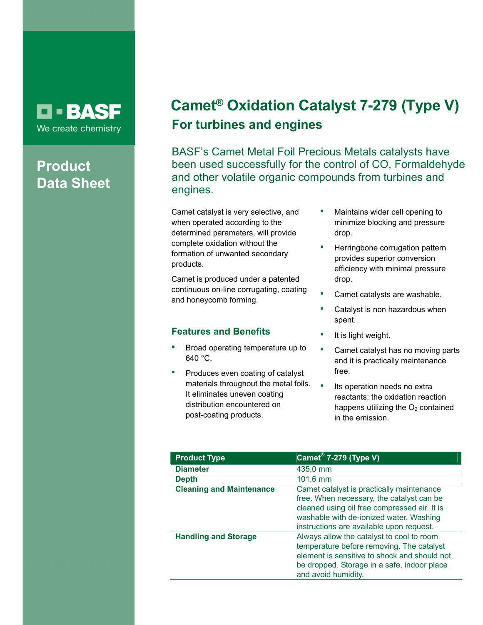## **D-BASF** We create chemistry

# **Product Data Sheet**

# **Camet® Oxidation Catalyst 7-279 (Type V) For turbines and engines**

BASF's Camet Metal Foil Precious Metals catalysts have been used successfully for the control of CO, Formaldehyde and other volatile organic compounds from turbines and engines.

Camet catalyst is very selective, and when operated according to the determined parameters, will provide complete oxidation without the formation of unwanted secondary products.

Camet is produced under a patented continuous on-line corrugating, coating and honeycomb forming.

## **Features and Benefits**

- Broad operating temperature up to 640 °C.
- Produces even coating of catalyst materials throughout the metal foils. It eliminates uneven coating distribution encountered on post-coating products.
- Maintains wider cell opening to minimize blocking and pressure drop.
- Herringbone corrugation pattern provides superior conversion efficiency with minimal pressure drop.
- Camet catalysts are washable.
- Catalyst is non hazardous when spent.
- It is light weight.
- **•** Camet catalyst has no moving parts and it is practically maintenance free.
- **Its operation needs no extral** reactants; the oxidation reaction happens utilizing the  $O<sub>2</sub>$  contained in the emission.

| <b>Product Type</b>             | <b>Camet<sup>®</sup> 7-279 (Type V)</b>                                                                                                                                                                                       |
|---------------------------------|-------------------------------------------------------------------------------------------------------------------------------------------------------------------------------------------------------------------------------|
| <b>Diameter</b>                 | 435,0 mm                                                                                                                                                                                                                      |
| <b>Depth</b>                    | $101,6 \, \text{mm}$                                                                                                                                                                                                          |
| <b>Cleaning and Maintenance</b> | Camet catalyst is practically maintenance<br>free. When necessary, the catalyst can be<br>cleaned using oil free compressed air. It is<br>washable with de-ionized water. Washing<br>instructions are available upon request. |
| <b>Handling and Storage</b>     | Always allow the catalyst to cool to room<br>temperature before removing. The catalyst<br>element is sensitive to shock and should not<br>be dropped. Storage in a safe, indoor place<br>and avoid humidity.                  |